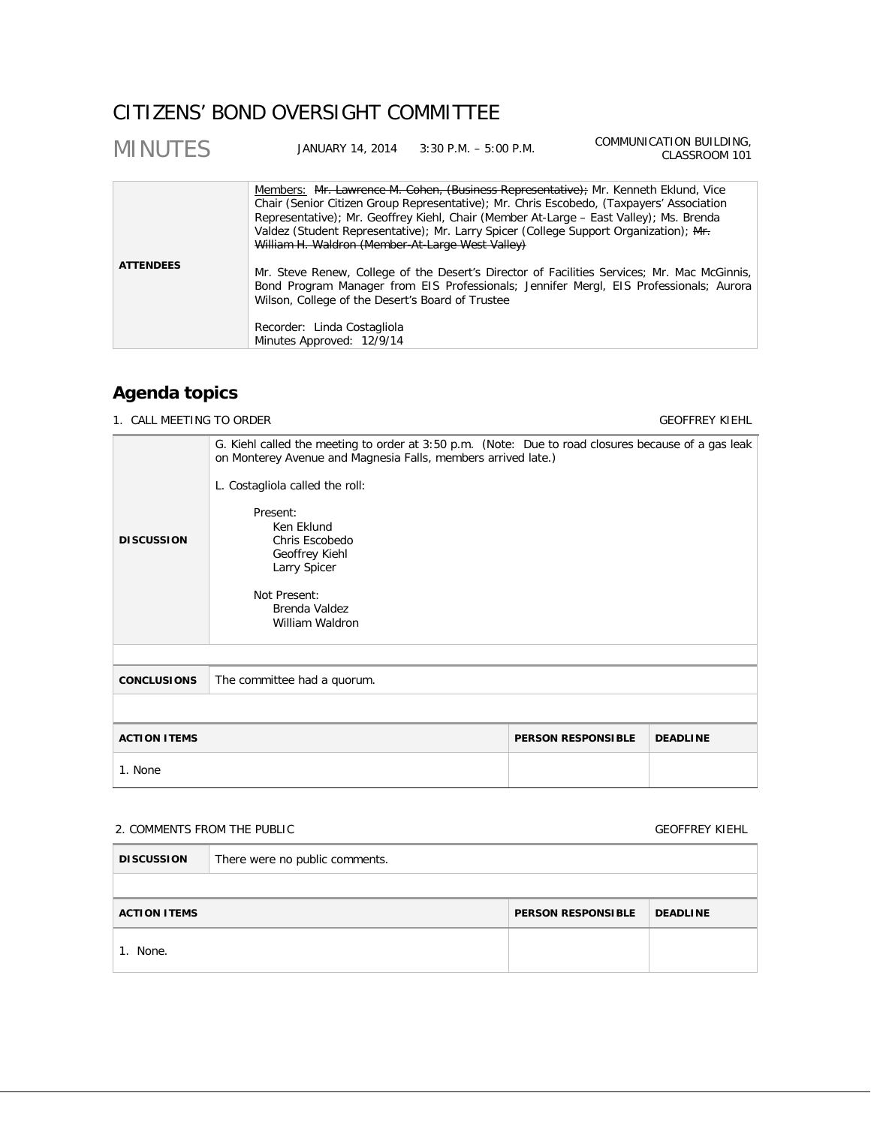# CITIZENS' BOND OVERSIGHT COMMITTEE

| <b>MINUTES</b>   | JANUARY 14, 2014 3:30 P.M. - 5:00 P.M.                                                                                                                                                                                                                                                                                                                                                                                                                                                                                                                                                                                                                              | COMMUNICATION BUILDING,<br>CLASSROOM 101 |
|------------------|---------------------------------------------------------------------------------------------------------------------------------------------------------------------------------------------------------------------------------------------------------------------------------------------------------------------------------------------------------------------------------------------------------------------------------------------------------------------------------------------------------------------------------------------------------------------------------------------------------------------------------------------------------------------|------------------------------------------|
| <b>ATTENDEES</b> | Members: Mr. Lawrence M. Cohen, (Business Representative); Mr. Kenneth Eklund, Vice<br>Chair (Senior Citizen Group Representative); Mr. Chris Escobedo, (Taxpayers' Association<br>Representative); Mr. Geoffrey Kiehl, Chair (Member At-Large – East Valley); Ms. Brenda<br>Valdez (Student Representative); Mr. Larry Spicer (College Support Organization); Mf.<br>William H. Waldron (Member-At-Large West Valley)<br>Mr. Steve Renew, College of the Desert's Director of Facilities Services; Mr. Mac McGinnis,<br>Bond Program Manager from EIS Professionals; Jennifer Mergl, EIS Professionals; Aurora<br>Wilson, College of the Desert's Board of Trustee |                                          |
|                  | Recorder: Linda Costagliola<br>Minutes Approved: 12/9/14                                                                                                                                                                                                                                                                                                                                                                                                                                                                                                                                                                                                            |                                          |

## **Agenda topics**

1. CALL MEETING TO ORDER GEOFFREY KIEHL

| <b>DISCUSSION</b>                                                   | G. Kiehl called the meeting to order at 3:50 p.m. (Note: Due to road closures because of a gas leak<br>on Monterey Avenue and Magnesia Falls, members arrived late.)<br>L. Costagliola called the roll:<br>Present:<br>Ken Eklund<br>Chris Escobedo<br>Geoffrey Kiehl<br>Larry Spicer<br>Not Present:<br>Brenda Valdez<br>William Waldron |  |  |  |
|---------------------------------------------------------------------|-------------------------------------------------------------------------------------------------------------------------------------------------------------------------------------------------------------------------------------------------------------------------------------------------------------------------------------------|--|--|--|
| <b>CONCLUSIONS</b>                                                  | The committee had a quorum.                                                                                                                                                                                                                                                                                                               |  |  |  |
|                                                                     |                                                                                                                                                                                                                                                                                                                                           |  |  |  |
| <b>ACTION ITEMS</b><br><b>DEADLINE</b><br><b>PERSON RESPONSIBLE</b> |                                                                                                                                                                                                                                                                                                                                           |  |  |  |
| 1. None                                                             |                                                                                                                                                                                                                                                                                                                                           |  |  |  |

## 2. COMMENTS FROM THE PUBLIC **COMMENTS FROM THE PUBLIC**

| <b>DISCUSSION</b>                                                   | There were no public comments. |  |  |  |
|---------------------------------------------------------------------|--------------------------------|--|--|--|
|                                                                     |                                |  |  |  |
| <b>PERSON RESPONSIBLE</b><br><b>DEADLINE</b><br><b>ACTION ITEMS</b> |                                |  |  |  |
| None.                                                               |                                |  |  |  |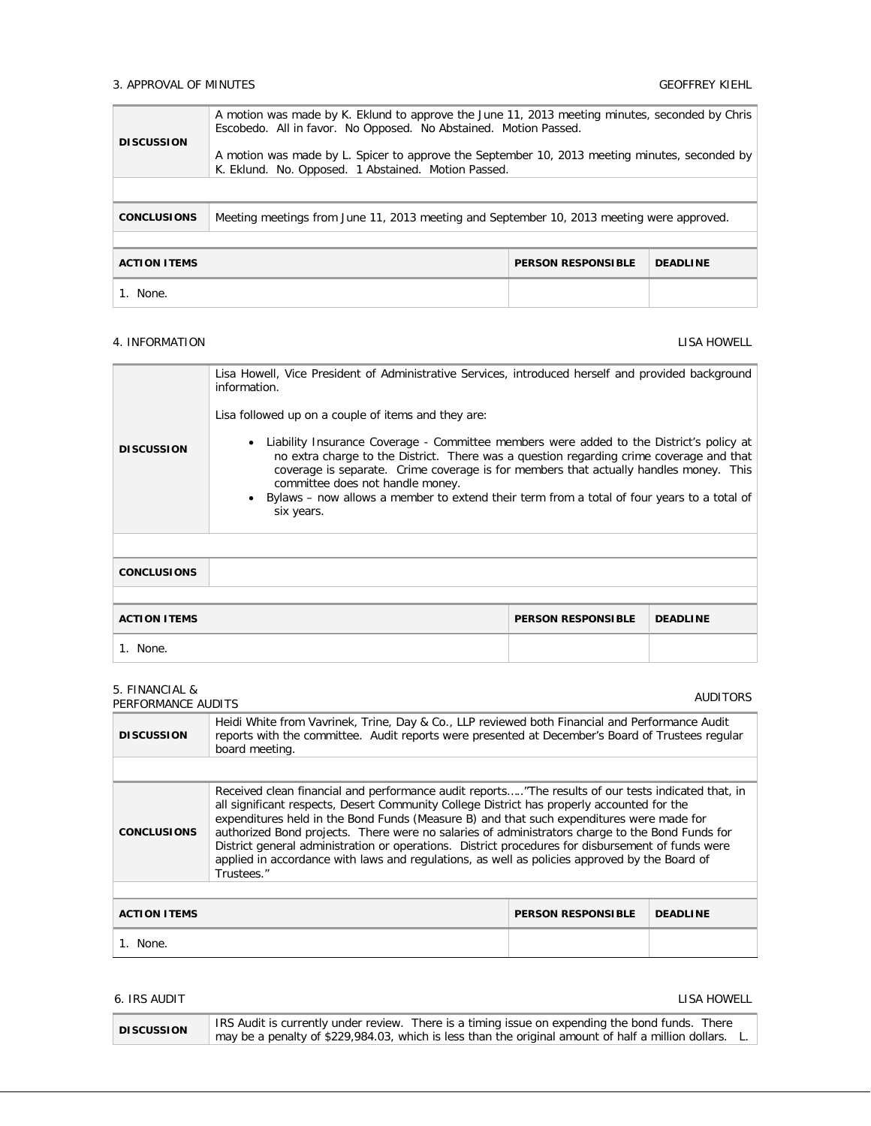### 3. APPROVAL OF MINUTES GEOFFREY KIEHL

| <b>DISCUSSION</b>                                                   | A motion was made by K. Eklund to approve the June 11, 2013 meeting minutes, seconded by Chris<br>Escobedo. All in favor. No Opposed. No Abstained. Motion Passed.<br>A motion was made by L. Spicer to approve the September 10, 2013 meeting minutes, seconded by<br>K. Eklund. No. Opposed. 1 Abstained. Motion Passed. |  |  |
|---------------------------------------------------------------------|----------------------------------------------------------------------------------------------------------------------------------------------------------------------------------------------------------------------------------------------------------------------------------------------------------------------------|--|--|
|                                                                     |                                                                                                                                                                                                                                                                                                                            |  |  |
| <b>CONCLUSIONS</b>                                                  | Meeting meetings from June 11, 2013 meeting and September 10, 2013 meeting were approved.                                                                                                                                                                                                                                  |  |  |
|                                                                     |                                                                                                                                                                                                                                                                                                                            |  |  |
| <b>ACTION ITEMS</b><br><b>PERSON RESPONSIBLE</b><br><b>DEADLINE</b> |                                                                                                                                                                                                                                                                                                                            |  |  |
| 1. None.                                                            |                                                                                                                                                                                                                                                                                                                            |  |  |

### 4. INFORMATION LISA HOWELL

| <b>DISCUSSION</b>   | Lisa Howell, Vice President of Administrative Services, introduced herself and provided background<br>information.<br>Lisa followed up on a couple of items and they are:<br>Liability Insurance Coverage - Committee members were added to the District's policy at<br>no extra charge to the District. There was a question regarding crime coverage and that<br>coverage is separate. Crime coverage is for members that actually handles money. This<br>committee does not handle money.<br>Bylaws – now allows a member to extend their term from a total of four years to a total of<br>six years. |  |  |  |
|---------------------|----------------------------------------------------------------------------------------------------------------------------------------------------------------------------------------------------------------------------------------------------------------------------------------------------------------------------------------------------------------------------------------------------------------------------------------------------------------------------------------------------------------------------------------------------------------------------------------------------------|--|--|--|
|                     |                                                                                                                                                                                                                                                                                                                                                                                                                                                                                                                                                                                                          |  |  |  |
| <b>CONCLUSIONS</b>  |                                                                                                                                                                                                                                                                                                                                                                                                                                                                                                                                                                                                          |  |  |  |
|                     |                                                                                                                                                                                                                                                                                                                                                                                                                                                                                                                                                                                                          |  |  |  |
| <b>ACTION ITEMS</b> | <b>DEADLINE</b><br><b>PERSON RESPONSIBLE</b>                                                                                                                                                                                                                                                                                                                                                                                                                                                                                                                                                             |  |  |  |
| 1. None.            |                                                                                                                                                                                                                                                                                                                                                                                                                                                                                                                                                                                                          |  |  |  |

| 5. FINANCIAL &<br>PERFORMANCE AUDITS                                                                                                                                                                                                                                                                                                                                                                                                                                                                                                                                                                                                      |                                                                                                                                                                                                                      |  | <b>AUDITORS</b> |
|-------------------------------------------------------------------------------------------------------------------------------------------------------------------------------------------------------------------------------------------------------------------------------------------------------------------------------------------------------------------------------------------------------------------------------------------------------------------------------------------------------------------------------------------------------------------------------------------------------------------------------------------|----------------------------------------------------------------------------------------------------------------------------------------------------------------------------------------------------------------------|--|-----------------|
| <b>DISCUSSION</b>                                                                                                                                                                                                                                                                                                                                                                                                                                                                                                                                                                                                                         | Heidi White from Vavrinek, Trine, Day & Co., LLP reviewed both Financial and Performance Audit<br>reports with the committee. Audit reports were presented at December's Board of Trustees regular<br>board meeting. |  |                 |
|                                                                                                                                                                                                                                                                                                                                                                                                                                                                                                                                                                                                                                           |                                                                                                                                                                                                                      |  |                 |
| Received clean financial and performance audit reports"The results of our tests indicated that, in<br>all significant respects, Desert Community College District has properly accounted for the<br>expenditures held in the Bond Funds (Measure B) and that such expenditures were made for<br>authorized Bond projects. There were no salaries of administrators charge to the Bond Funds for<br><b>CONCLUSIONS</b><br>District general administration or operations. District procedures for disbursement of funds were<br>applied in accordance with laws and regulations, as well as policies approved by the Board of<br>Trustees." |                                                                                                                                                                                                                      |  |                 |
|                                                                                                                                                                                                                                                                                                                                                                                                                                                                                                                                                                                                                                           |                                                                                                                                                                                                                      |  |                 |
| <b>ACTION ITEMS</b><br><b>PERSON RESPONSIBLE</b><br><b>DEADLINE</b>                                                                                                                                                                                                                                                                                                                                                                                                                                                                                                                                                                       |                                                                                                                                                                                                                      |  |                 |
| 1. None.                                                                                                                                                                                                                                                                                                                                                                                                                                                                                                                                                                                                                                  |                                                                                                                                                                                                                      |  |                 |

## 6. IRS AUDIT AND RESIDENCE IN A 1990 OF THE SECOND MANUSCRIPT OF THE SECOND MANUSCRIPT OF THE SECOND MANUSCRIPT OF THE SECOND MANUSCRIPT OF THE SECOND MANUSCRIPT OF THE SECOND MANUSCRIPT OF THE SECOND MANUSCRIPT OF THE SEC

| <b>DISCUSSION</b> | IRS Audit is currently under review. There is a timing issue on expending the bond funds. There              |
|-------------------|--------------------------------------------------------------------------------------------------------------|
|                   | $\pm$ may be a penalty of \$229,984.03, which is less than the original amount of half a million dollars. L. |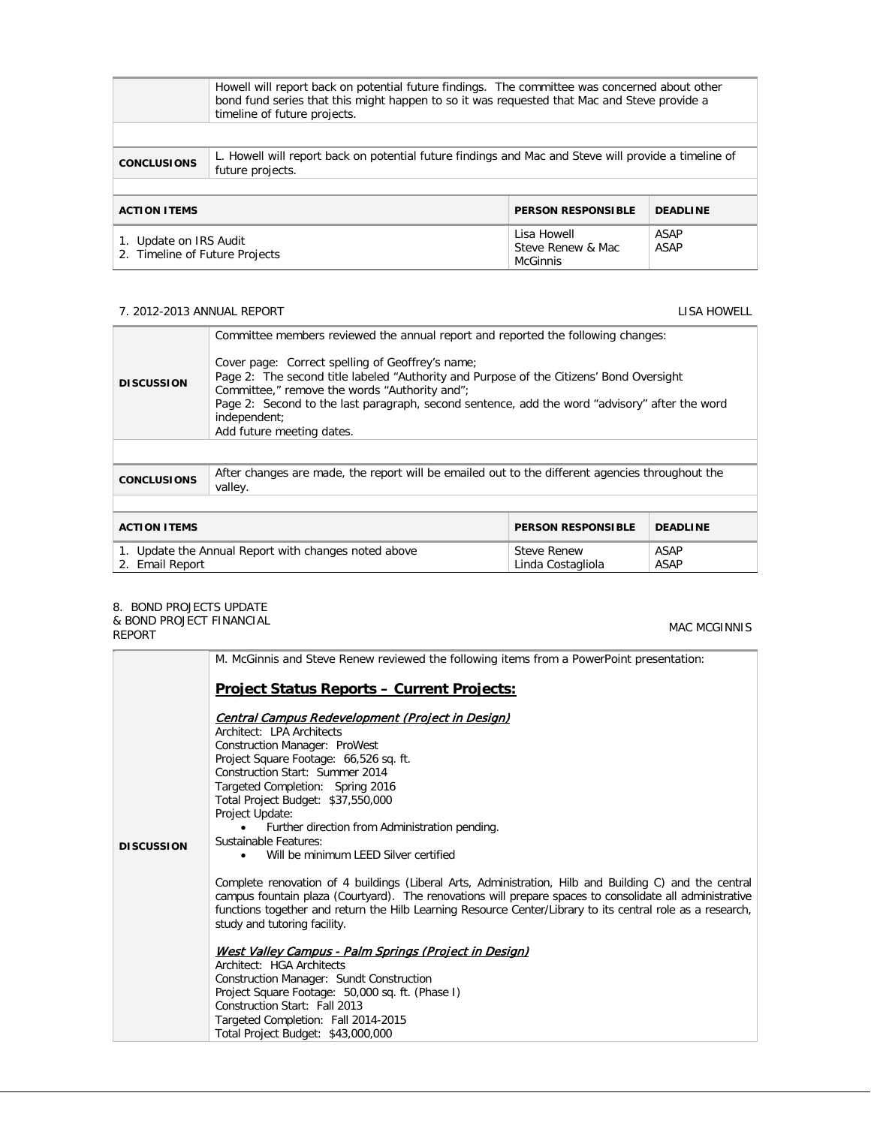|                                                                                                                                                | Howell will report back on potential future findings. The committee was concerned about other<br>bond fund series that this might happen to so it was requested that Mac and Steve provide a<br>timeline of future projects. |                                              |              |  |
|------------------------------------------------------------------------------------------------------------------------------------------------|------------------------------------------------------------------------------------------------------------------------------------------------------------------------------------------------------------------------------|----------------------------------------------|--------------|--|
| L. Howell will report back on potential future findings and Mac and Steve will provide a timeline of<br><b>CONCLUSIONS</b><br>future projects. |                                                                                                                                                                                                                              |                                              |              |  |
| <b>PERSON RESPONSIBLE</b><br><b>DEADLINE</b><br><b>ACTION ITEMS</b>                                                                            |                                                                                                                                                                                                                              |                                              |              |  |
| 1. Update on IRS Audit<br>2. Timeline of Future Projects                                                                                       |                                                                                                                                                                                                                              | Lisa Howell<br>Steve Renew & Mac<br>McGinnis | ASAP<br>ASAP |  |

### 7. 2012-2013 ANNUAL REPORT LISA HOWELL

| <b>DISCUSSION</b>                                                                                                                         | Committee members reviewed the annual report and reported the following changes:<br>Cover page: Correct spelling of Geoffrey's name;<br>Page 2: The second title labeled "Authority and Purpose of the Citizens' Bond Oversight<br>Committee," remove the words "Authority and";<br>Page 2: Second to the last paragraph, second sentence, add the word "advisory" after the word<br>independent;<br>Add future meeting dates. |  |  |  |
|-------------------------------------------------------------------------------------------------------------------------------------------|--------------------------------------------------------------------------------------------------------------------------------------------------------------------------------------------------------------------------------------------------------------------------------------------------------------------------------------------------------------------------------------------------------------------------------|--|--|--|
|                                                                                                                                           |                                                                                                                                                                                                                                                                                                                                                                                                                                |  |  |  |
| <b>CONCLUSIONS</b>                                                                                                                        | After changes are made, the report will be emailed out to the different agencies throughout the<br>valley.                                                                                                                                                                                                                                                                                                                     |  |  |  |
|                                                                                                                                           |                                                                                                                                                                                                                                                                                                                                                                                                                                |  |  |  |
| <b>ACTION ITEMS</b><br><b>DEADLINE</b><br><b>PERSON RESPONSIBLE</b>                                                                       |                                                                                                                                                                                                                                                                                                                                                                                                                                |  |  |  |
| <b>ASAP</b><br>1. Update the Annual Report with changes noted above<br><b>Steve Renew</b><br>ASAP<br>2. Email Report<br>Linda Costagliola |                                                                                                                                                                                                                                                                                                                                                                                                                                |  |  |  |

# 8. BOND PROJECTS UPDATE

| & BOND PROJECT FINANCIAL<br><b>REPORT</b> | <b>MAC MCGINNIS</b>                                                                                                                                                                                                                                                                                                                                              |
|-------------------------------------------|------------------------------------------------------------------------------------------------------------------------------------------------------------------------------------------------------------------------------------------------------------------------------------------------------------------------------------------------------------------|
|                                           | M. McGinnis and Steve Renew reviewed the following items from a PowerPoint presentation:                                                                                                                                                                                                                                                                         |
|                                           | <b>Project Status Reports - Current Projects:</b>                                                                                                                                                                                                                                                                                                                |
|                                           | Central Campus Redevelopment (Project in Design)<br>Architect: LPA Architects                                                                                                                                                                                                                                                                                    |
|                                           | <b>Construction Manager: ProWest</b>                                                                                                                                                                                                                                                                                                                             |
|                                           | Project Square Footage: 66,526 sq. ft.                                                                                                                                                                                                                                                                                                                           |
|                                           | Construction Start: Summer 2014                                                                                                                                                                                                                                                                                                                                  |
|                                           | Targeted Completion: Spring 2016                                                                                                                                                                                                                                                                                                                                 |
|                                           | Total Project Budget: \$37,550,000<br>Project Update:                                                                                                                                                                                                                                                                                                            |
|                                           | Further direction from Administration pending.                                                                                                                                                                                                                                                                                                                   |
| <b>DISCUSSION</b>                         | Sustainable Features:                                                                                                                                                                                                                                                                                                                                            |
|                                           | Will be minimum LEED Silver certified                                                                                                                                                                                                                                                                                                                            |
|                                           | Complete renovation of 4 buildings (Liberal Arts, Administration, Hilb and Building C) and the central<br>campus fountain plaza (Courtyard). The renovations will prepare spaces to consolidate all administrative<br>functions together and return the Hilb Learning Resource Center/Library to its central role as a research,<br>study and tutoring facility. |
|                                           | West Valley Campus - Palm Springs (Project in Desian)                                                                                                                                                                                                                                                                                                            |
|                                           | Architect: HGA Architects                                                                                                                                                                                                                                                                                                                                        |
|                                           | Construction Manager: Sundt Construction<br>Project Square Footage: 50,000 sq. ft. (Phase I)                                                                                                                                                                                                                                                                     |
|                                           | Construction Start: Fall 2013                                                                                                                                                                                                                                                                                                                                    |
|                                           | Targeted Completion: Fall 2014-2015                                                                                                                                                                                                                                                                                                                              |
|                                           | Total Project Budget: \$43,000,000                                                                                                                                                                                                                                                                                                                               |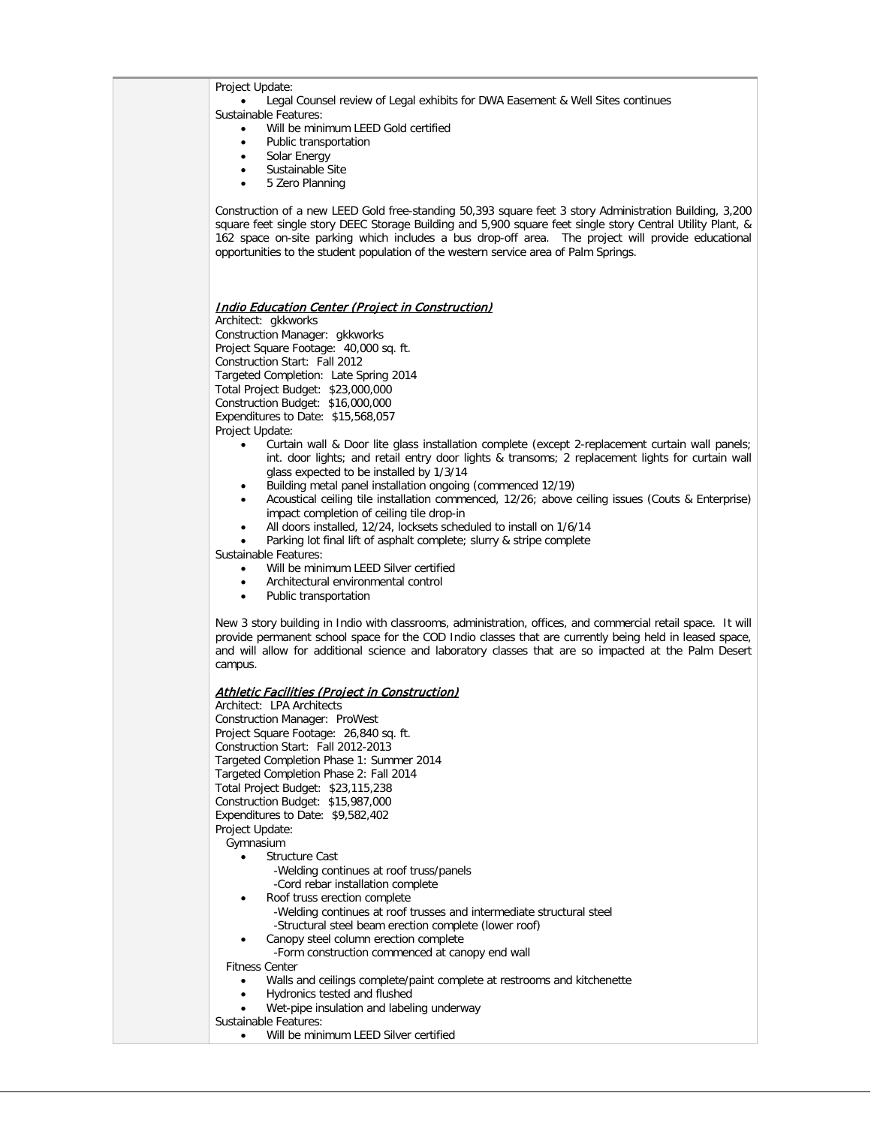| Project Update:                                                                                                                                                                                                                                                                                                                                                                                                     |  |
|---------------------------------------------------------------------------------------------------------------------------------------------------------------------------------------------------------------------------------------------------------------------------------------------------------------------------------------------------------------------------------------------------------------------|--|
| Legal Counsel review of Legal exhibits for DWA Easement & Well Sites continues                                                                                                                                                                                                                                                                                                                                      |  |
| Sustainable Features:<br>Will be minimum LEED Gold certified<br>$\bullet$                                                                                                                                                                                                                                                                                                                                           |  |
| Public transportation<br>٠                                                                                                                                                                                                                                                                                                                                                                                          |  |
| Solar Energy<br>$\bullet$                                                                                                                                                                                                                                                                                                                                                                                           |  |
| Sustainable Site                                                                                                                                                                                                                                                                                                                                                                                                    |  |
| 5 Zero Planning<br>$\bullet$                                                                                                                                                                                                                                                                                                                                                                                        |  |
| Construction of a new LEED Gold free-standing 50,393 square feet 3 story Administration Building, 3,200<br>square feet single story DEEC Storage Building and 5,900 square feet single story Central Utility Plant, &<br>162 space on-site parking which includes a bus drop-off area. The project will provide educational<br>opportunities to the student population of the western service area of Palm Springs. |  |
|                                                                                                                                                                                                                                                                                                                                                                                                                     |  |
|                                                                                                                                                                                                                                                                                                                                                                                                                     |  |
| <u>Indio Education Center (Project in Construction)</u>                                                                                                                                                                                                                                                                                                                                                             |  |
| Architect: gkkworks                                                                                                                                                                                                                                                                                                                                                                                                 |  |
| Construction Manager: gkkworks                                                                                                                                                                                                                                                                                                                                                                                      |  |
| Project Square Footage: 40,000 sq. ft.                                                                                                                                                                                                                                                                                                                                                                              |  |
| Construction Start: Fall 2012                                                                                                                                                                                                                                                                                                                                                                                       |  |
| Targeted Completion: Late Spring 2014                                                                                                                                                                                                                                                                                                                                                                               |  |
| Total Project Budget: \$23,000,000                                                                                                                                                                                                                                                                                                                                                                                  |  |
| Construction Budget: \$16,000,000<br>Expenditures to Date: \$15,568,057                                                                                                                                                                                                                                                                                                                                             |  |
| Project Update:                                                                                                                                                                                                                                                                                                                                                                                                     |  |
| Curtain wall & Door lite glass installation complete (except 2-replacement curtain wall panels;<br>$\bullet$<br>int. door lights; and retail entry door lights & transoms; 2 replacement lights for curtain wall<br>glass expected to be installed by 1/3/14                                                                                                                                                        |  |
| Building metal panel installation ongoing (commenced 12/19)<br>$\bullet$                                                                                                                                                                                                                                                                                                                                            |  |
| Acoustical ceiling tile installation commenced, 12/26; above ceiling issues (Couts & Enterprise)<br>٠<br>impact completion of ceiling tile drop-in                                                                                                                                                                                                                                                                  |  |
| All doors installed, 12/24, locksets scheduled to install on 1/6/14<br>$\bullet$                                                                                                                                                                                                                                                                                                                                    |  |
| Parking lot final lift of asphalt complete; slurry & stripe complete                                                                                                                                                                                                                                                                                                                                                |  |
| Sustainable Features:                                                                                                                                                                                                                                                                                                                                                                                               |  |
| Will be minimum LEED Silver certified                                                                                                                                                                                                                                                                                                                                                                               |  |
| Architectural environmental control<br>$\bullet$                                                                                                                                                                                                                                                                                                                                                                    |  |
| Public transportation<br>$\bullet$                                                                                                                                                                                                                                                                                                                                                                                  |  |
| New 3 story building in Indio with classrooms, administration, offices, and commercial retail space. It will<br>provide permanent school space for the COD Indio classes that are currently being held in leased space,<br>and will allow for additional science and laboratory classes that are so impacted at the Palm Desert<br>campus.                                                                          |  |
|                                                                                                                                                                                                                                                                                                                                                                                                                     |  |
| <u>Athletic Facilities (Project in Construction)</u><br>Architect: LPA Architects                                                                                                                                                                                                                                                                                                                                   |  |
| Construction Manager: ProWest                                                                                                                                                                                                                                                                                                                                                                                       |  |
| Project Square Footage: 26,840 sq. ft.                                                                                                                                                                                                                                                                                                                                                                              |  |
| Construction Start: Fall 2012-2013                                                                                                                                                                                                                                                                                                                                                                                  |  |
| Targeted Completion Phase 1: Summer 2014                                                                                                                                                                                                                                                                                                                                                                            |  |
| Targeted Completion Phase 2: Fall 2014                                                                                                                                                                                                                                                                                                                                                                              |  |
| Total Project Budget: \$23,115,238<br>Construction Budget: \$15,987,000                                                                                                                                                                                                                                                                                                                                             |  |
| Expenditures to Date: \$9,582,402                                                                                                                                                                                                                                                                                                                                                                                   |  |
| Project Update:                                                                                                                                                                                                                                                                                                                                                                                                     |  |
| Gymnasium                                                                                                                                                                                                                                                                                                                                                                                                           |  |
| <b>Structure Cast</b><br>$\bullet$                                                                                                                                                                                                                                                                                                                                                                                  |  |
| -Welding continues at roof truss/panels                                                                                                                                                                                                                                                                                                                                                                             |  |
| -Cord rebar installation complete                                                                                                                                                                                                                                                                                                                                                                                   |  |
| Roof truss erection complete                                                                                                                                                                                                                                                                                                                                                                                        |  |
| -Welding continues at roof trusses and intermediate structural steel<br>-Structural steel beam erection complete (lower roof)                                                                                                                                                                                                                                                                                       |  |
| Canopy steel column erection complete                                                                                                                                                                                                                                                                                                                                                                               |  |
| -Form construction commenced at canopy end wall                                                                                                                                                                                                                                                                                                                                                                     |  |
| <b>Fitness Center</b>                                                                                                                                                                                                                                                                                                                                                                                               |  |
| Walls and ceilings complete/paint complete at restrooms and kitchenette                                                                                                                                                                                                                                                                                                                                             |  |
| Hydronics tested and flushed                                                                                                                                                                                                                                                                                                                                                                                        |  |
| Wet-pipe insulation and labeling underway                                                                                                                                                                                                                                                                                                                                                                           |  |
| Sustainable Features:<br>Will be minimum LEED Silver certified                                                                                                                                                                                                                                                                                                                                                      |  |
|                                                                                                                                                                                                                                                                                                                                                                                                                     |  |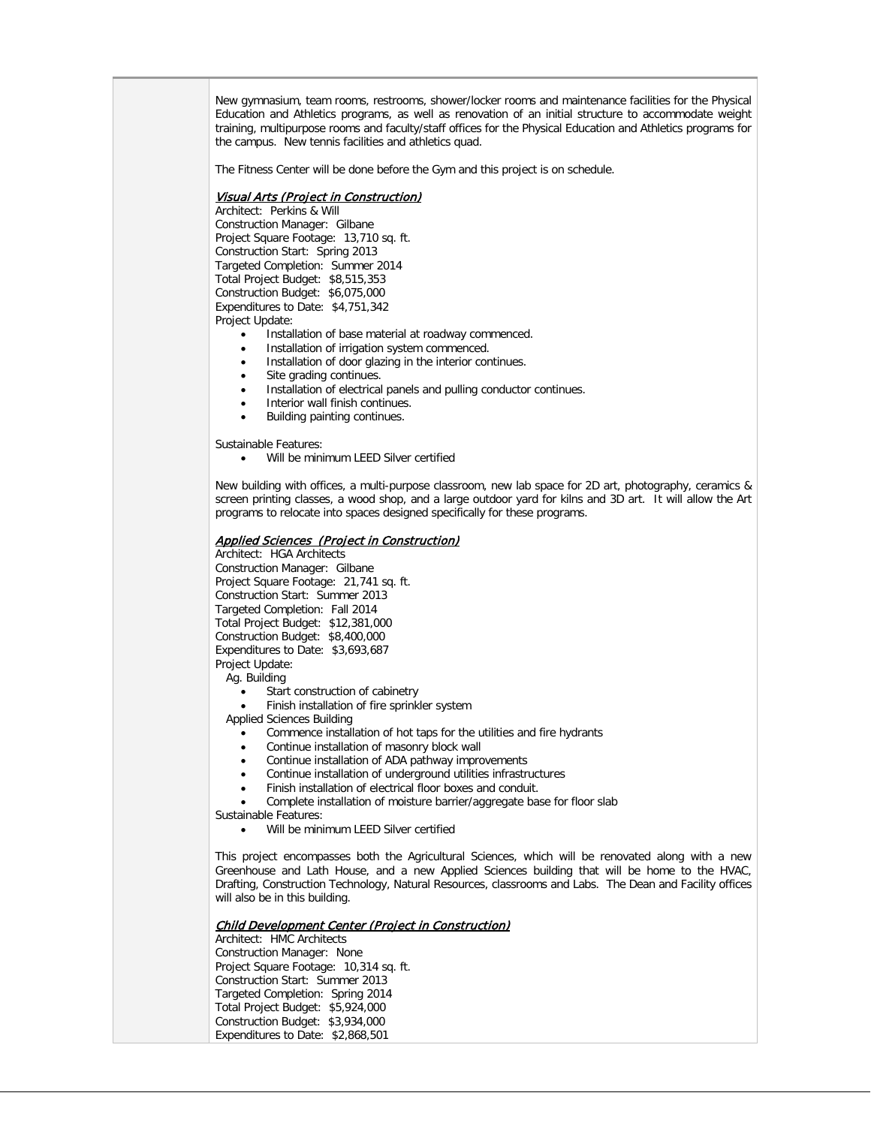New gymnasium, team rooms, restrooms, shower/locker rooms and maintenance facilities for the Physical Education and Athletics programs, as well as renovation of an initial structure to accommodate weight training, multipurpose rooms and faculty/staff offices for the Physical Education and Athletics programs for the campus. New tennis facilities and athletics quad.

The Fitness Center will be done before the Gym and this project is on schedule.

### Visual Arts (Project in Construction)

Architect: Perkins & Will Construction Manager: Gilbane Project Square Footage: 13,710 sq. ft. Construction Start: Spring 2013 Targeted Completion: Summer 2014 Total Project Budget: \$8,515,353 Construction Budget: \$6,075,000 Expenditures to Date: \$4,751,342 Project Update:

- Installation of base material at roadway commenced.
- Installation of irrigation system commenced.
- Installation of door glazing in the interior continues.
- Site grading continues.
- Installation of electrical panels and pulling conductor continues.
- Interior wall finish continues.
- Building painting continues.

Sustainable Features:

• Will be minimum LEED Silver certified

New building with offices, a multi-purpose classroom, new lab space for 2D art, photography, ceramics & screen printing classes, a wood shop, and a large outdoor yard for kilns and 3D art. It will allow the Art programs to relocate into spaces designed specifically for these programs.

### Applied Sciences (Project in Construction)

Architect: HGA Architects Construction Manager: Gilbane Project Square Footage: 21,741 sq. ft. Construction Start: Summer 2013 Targeted Completion: Fall 2014 Total Project Budget: \$12,381,000 Construction Budget: \$8,400,000 Expenditures to Date: \$3,693,687 Project Update:

Ag. Building

- Start construction of cabinetry
- Finish installation of fire sprinkler system
- Applied Sciences Building
	- Commence installation of hot taps for the utilities and fire hydrants
	- Continue installation of masonry block wall
	- Continue installation of ADA pathway improvements
	- Continue installation of underground utilities infrastructures
	- Finish installation of electrical floor boxes and conduit.
	- Complete installation of moisture barrier/aggregate base for floor slab

Sustainable Features:

• Will be minimum LEED Silver certified

This project encompasses both the Agricultural Sciences, which will be renovated along with a new Greenhouse and Lath House, and a new Applied Sciences building that will be home to the HVAC, Drafting, Construction Technology, Natural Resources, classrooms and Labs. The Dean and Facility offices will also be in this building.

### Child Development Center (Project in Construction)

Architect: HMC Architects Construction Manager: None Project Square Footage: 10,314 sq. ft. Construction Start: Summer 2013 Targeted Completion: Spring 2014 Total Project Budget: \$5,924,000 Construction Budget: \$3,934,000 Expenditures to Date: \$2,868,501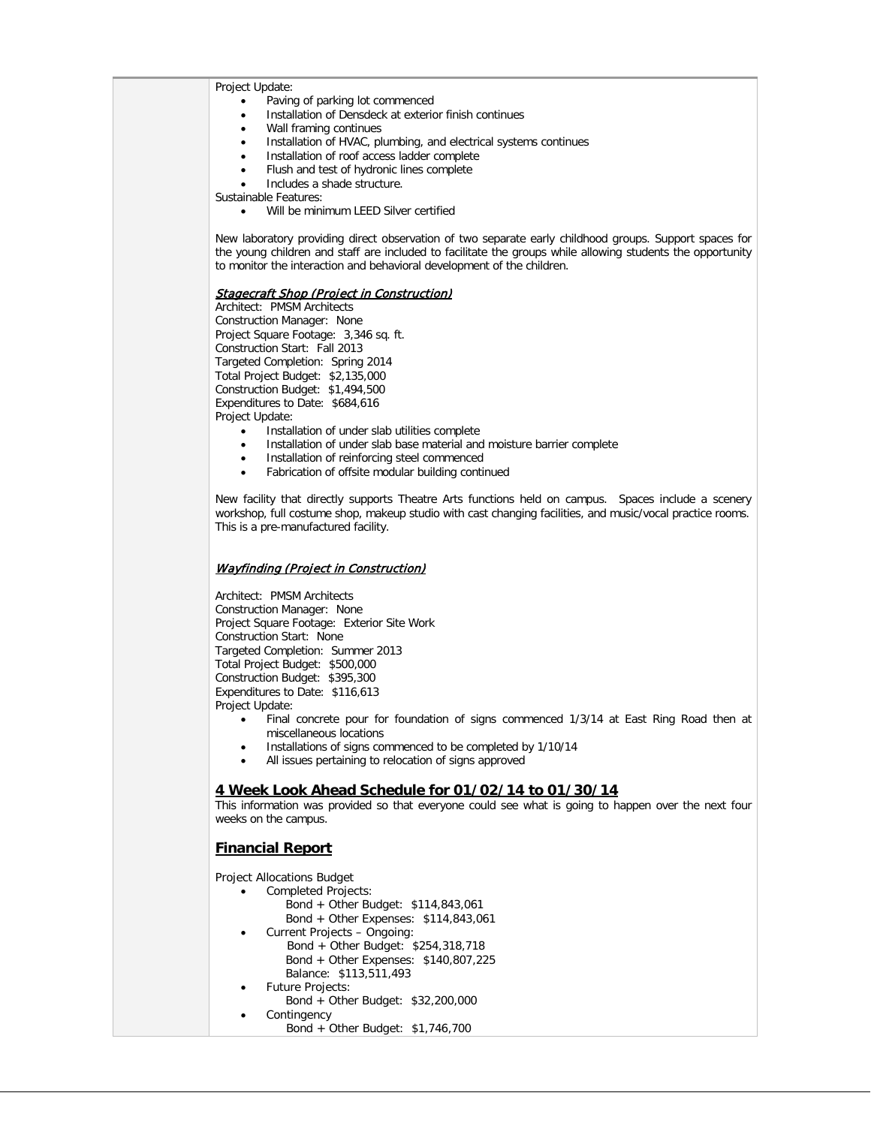Project Update:

- Paving of parking lot commenced
- Installation of Densdeck at exterior finish continues
- Wall framing continues
- Installation of HVAC, plumbing, and electrical systems continues
- Installation of roof access ladder complete
- Flush and test of hydronic lines complete
- Includes a shade structure.

Sustainable Features:

• Will be minimum LEED Silver certified

New laboratory providing direct observation of two separate early childhood groups. Support spaces for the young children and staff are included to facilitate the groups while allowing students the opportunity to monitor the interaction and behavioral development of the children.

### Stagecraft Shop (Project in Construction)

Architect: PMSM Architects Construction Manager: None Project Square Footage: 3,346 sq. ft. Construction Start: Fall 2013 Targeted Completion: Spring 2014 Total Project Budget: \$2,135,000 Construction Budget: \$1,494,500 Expenditures to Date: \$684,616 Project Update:

- Installation of under slab utilities complete
- Installation of under slab base material and moisture barrier complete
- Installation of reinforcing steel commenced
- Fabrication of offsite modular building continued

New facility that directly supports Theatre Arts functions held on campus. Spaces include a scenery workshop, full costume shop, makeup studio with cast changing facilities, and music/vocal practice rooms. This is a pre-manufactured facility.

### Wayfinding (Project in Construction)

Architect: PMSM Architects Construction Manager: None Project Square Footage: Exterior Site Work Construction Start: None Targeted Completion: Summer 2013 Total Project Budget: \$500,000 Construction Budget: \$395,300 Expenditures to Date: \$116,613 Project Update:

- Final concrete pour for foundation of signs commenced 1/3/14 at East Ring Road then at miscellaneous locations
- Installations of signs commenced to be completed by 1/10/14
- All issues pertaining to relocation of signs approved

### **4 Week Look Ahead Schedule for 01/02/14 to 01/30/14**

This information was provided so that everyone could see what is going to happen over the next four weeks on the campus.

### **Financial Report**

Project Allocations Budget

- Completed Projects:
	- Bond + Other Budget: \$114,843,061 Bond + Other Expenses: \$114,843,061
	- Current Projects Ongoing:
		- Bond + Other Budget: \$254,318,718 Bond + Other Expenses: \$140,807,225 Balance: \$113,511,493
- Future Projects:
- Bond + Other Budget: \$32,200,000
	- Contingency Bond + Other Budget: \$1,746,700